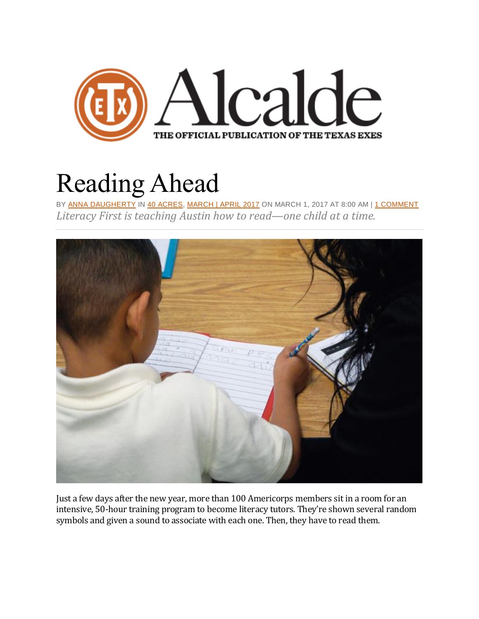

## [Reading](https://alcalde.texasexes.org/2017/03/reading-ahead/) Ahead

BY ANNA [DAUGHERTY](https://alcalde.texasexes.org/author/anna-daugherty/) IN 40 [ACRES,](https://alcalde.texasexes.org/category/40-acres/) [MARCH](https://alcalde.texasexes.org/category/march-april-2017/) | APRIL 2017 ON MARCH 1, 2017 AT 8:00 AM | 1 [COMMENT](https://alcalde.texasexes.org/2017/03/reading-ahead/comment-page-1/#comments) *Literacy First is teaching Austin how to read—one child at a time.*



Just a few days after the new year, more than 100 Americorps members sit in a room for an intensive, 50-hour training program to become literacy tutors. They're shown several random symbols and given a sound to associate with each one. Then, they have to read them.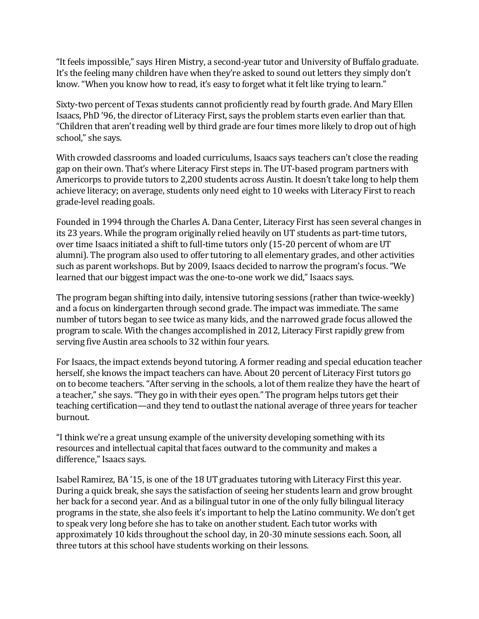"It feels impossible," says Hiren Mistry, a second-year tutor and University of Buffalo graduate. It's the feeling many children have when they're asked to sound out letters they simply don't know. "When you know how to read, it's easy to forget what it felt like trying to learn."

Sixty-two percent of Texas students cannot proficiently read by fourth grade. And Mary Ellen Isaacs, PhD '96, the director of Literacy First, says the problem starts even earlier than that. "Children that aren't reading well by third grade are four times more likely to drop out of high school," she says.

With crowded classrooms and loaded curriculums, Isaacs says teachers can't close the reading gap on their own. That's where Literacy First steps in. The UT-based program partners with Americorps to provide tutors to 2,200 students across Austin. It doesn't take long to help them achieve literacy; on average, students only need eight to 10 weeks with Literacy First to reach grade-level reading goals.

Founded in 1994 through the Charles A. Dana Center, Literacy First has seen several changes in its 23 years. While the program originally relied heavily on UT students as part-time tutors, over time Isaacs initiated a shift to full-time tutors only (15-20 percent of whom are UT alumni). The program also used to offer tutoring to all elementary grades, and other activities such as parent workshops. But by 2009, Isaacs decided to narrow the program's focus. "We learned that our biggest impact was the one-to-one work we did," Isaacs says.

The program began shifting into daily, intensive tutoring sessions (rather than twice-weekly) and a focus on kindergarten through second grade. The impact was immediate. The same number of tutors began to see twice as many kids, and the narrowed grade focus allowed the program to scale. With the changes accomplished in 2012, Literacy First rapidly grew from serving five Austin area schools to 32 within four years.

For Isaacs, the impact extends beyond tutoring. A former reading and special education teacher herself, she knows the impact teachers can have. About 20 percent of Literacy First tutors go on to become teachers. "After serving in the schools, a lot of them realize they have the heart of a teacher," she says. "They go in with their eyes open." The program helps tutors get their teaching certification—and they tend to outlast the national average of three years for teacher burnout.

"I think we're a great unsung example of the university developing something with its resources and intellectual capital that faces outward to the community and makes a difference," Isaacs says.

Isabel Ramirez, BA '15, is one of the 18 UT graduates tutoring with Literacy First this year. During a quick break, she says the satisfaction of seeing her students learn and grow brought her back for a second year. And as a bilingual tutor in one of the only fully bilingual literacy programs in the state, she also feels it's important to help the Latino community. We don't get to speak very long before she has to take on another student. Each tutor works with approximately 10 kids throughout the school day, in 20-30 minute sessions each. Soon, all three tutors at this school have students working on their lessons.